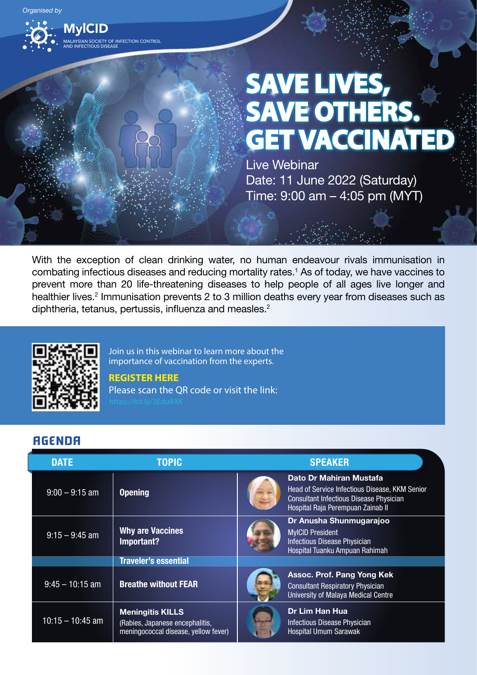

# **SAVE LIVES, SAVE OTHERS. GET VACCINATED**

Live Webinar Date: 11 June 2022 (Saturday) Time: 9:00 am – 4:05 pm (MYT)

With the exception of clean drinking water, no human endeavour rivals immunisation in combating infectious diseases and reducing mortality rates.<sup>1</sup> As of today, we have vaccines to prevent more than 20 life-threatening diseases to help people of all ages live longer and healthier lives.<sup>2</sup> Immunisation prevents 2 to 3 million deaths every year from diseases such as diphtheria, tetanus, pertussis, influenza and measles.<sup>2</sup>



Join us in this webinar to learn more about the importance of vaccination from the experts.

## **REGISTER HERE**

Please scan the QR code or visit the link:

## AGENDA

| <b>DATE</b>        | <b>TOPIC</b>                                                                                       | <b>SPEAKER</b>                                                                                                                                                   |
|--------------------|----------------------------------------------------------------------------------------------------|------------------------------------------------------------------------------------------------------------------------------------------------------------------|
| $9:00 - 9:15$ am   | <b>Opening</b>                                                                                     | Dato Dr Mahiran Mustafa<br>Head of Service Infectious Disease, KKM Senior<br><b>Consultant Infectious Disease Physician</b><br>Hospital Raia Perempuan Zainab II |
| $9:15 - 9:45$ am   | <b>Why are Vaccines</b><br>Important?                                                              | Dr Anusha Shunmugarajoo<br><b>MvICID President</b><br><b>Infectious Disease Physician</b><br>Hospital Tuanku Ampuan Rahimah                                      |
|                    | <b>Traveler's essential</b>                                                                        |                                                                                                                                                                  |
| $9:45 - 10:15$ am  | <b>Breathe without FEAR</b>                                                                        | Assoc. Prof. Pang Yong Kek<br><b>Consultant Respiratory Physician</b><br>University of Malaya Medical Centre                                                     |
| $10:15 - 10:45$ am | <b>Meningitis KILLS</b><br>(Rabies, Japanese encephalitis,<br>meningococcal disease, yellow fever) | Dr Lim Han Hua<br><b>Infectious Disease Physician</b><br><b>Hospital Umum Sarawak</b>                                                                            |